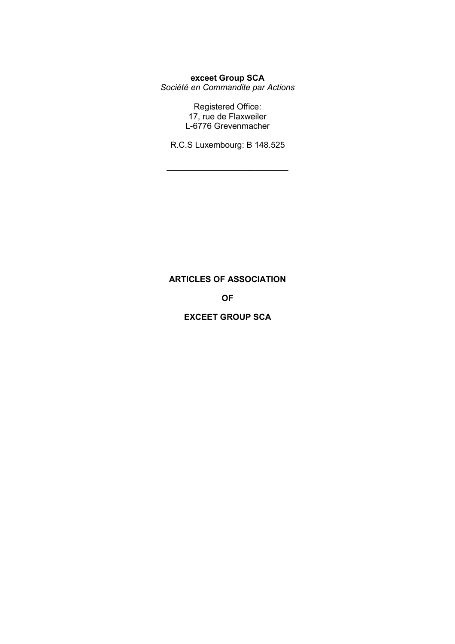# **exceet Group SCA**

*Société en Commandite par Actions* 

Registered Office: 17, rue de Flaxweiler L-6776 Grevenmacher

R.C.S Luxembourg: B 148.525

**\_\_\_\_\_\_\_\_\_\_\_\_\_\_\_\_\_\_\_\_\_\_\_\_\_\_** 

# **ARTICLES OF ASSOCIATION**

# **OF**

## **EXCEET GROUP SCA**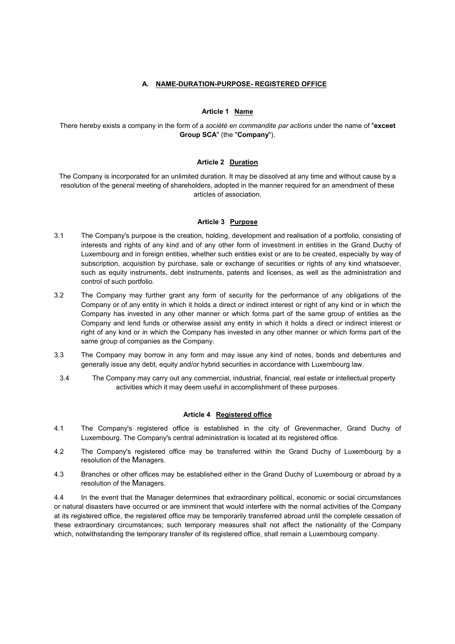## **A. NAME-DURATION-PURPOSE- REGISTERED OFFICE**

#### **Article 1 Name**

There hereby exists a company in the form of a *société en commandite par actions* under the name of "**exceet Group SCA**" (the "**Company**").

#### **Article 2 Duration**

The Company is incorporated for an unlimited duration. It may be dissolved at any time and without cause by a resolution of the general meeting of shareholders, adopted in the manner required for an amendment of these articles of association.

#### **Article 3 Purpose**

- 3.1 The Company's purpose is the creation, holding, development and realisation of a portfolio, consisting of interests and rights of any kind and of any other form of investment in entities in the Grand Duchy of Luxembourg and in foreign entities, whether such entities exist or are to be created, especially by way of subscription, acquisition by purchase, sale or exchange of securities or rights of any kind whatsoever, such as equity instruments, debt instruments, patents and licenses, as well as the administration and control of such portfolio.
- 3.2 The Company may further grant any form of security for the performance of any obligations of the Company or of any entity in which it holds a direct or indirect interest or right of any kind or in which the Company has invested in any other manner or which forms part of the same group of entities as the Company and lend funds or otherwise assist any entity in which it holds a direct or indirect interest or right of any kind or in which the Company has invested in any other manner or which forms part of the same group of companies as the Company.
- 3.3 The Company may borrow in any form and may issue any kind of notes, bonds and debentures and generally issue any debt, equity and/or hybrid securities in accordance with Luxembourg law.
	- 3.4 The Company may carry out any commercial, industrial, financial, real estate or intellectual property activities which it may deem useful in accomplishment of these purposes.

#### **Article 4 Registered office**

- 4.1 The Company's registered office is established in the city of Grevenmacher, Grand Duchy of Luxembourg. The Company's central administration is located at its registered office.
- 4.2 The Company's registered office may be transferred within the Grand Duchy of Luxembourg by a resolution of the Managers.
- 4.3 Branches or other offices may be established either in the Grand Duchy of Luxembourg or abroad by a resolution of the Managers.

4.4 In the event that the Manager determines that extraordinary political, economic or social circumstances or natural disasters have occurred or are imminent that would interfere with the normal activities of the Company at its registered office, the registered office may be temporarily transferred abroad until the complete cessation of these extraordinary circumstances; such temporary measures shall not affect the nationality of the Company which, notwithstanding the temporary transfer of its registered office, shall remain a Luxembourg company.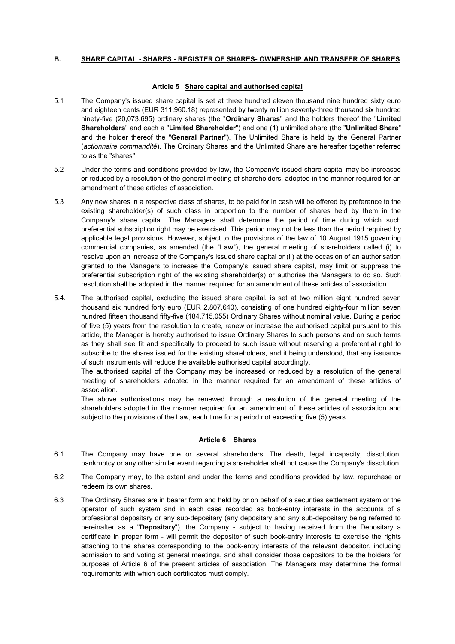## **B. SHARE CAPITAL - SHARES - REGISTER OF SHARES- OWNERSHIP AND TRANSFER OF SHARES**

#### **Article 5 Share capital and authorised capital**

- 5.1 The Company's issued share capital is set at three hundred eleven thousand nine hundred sixty euro and eighteen cents (EUR 311,960.18) represented by twenty million seventy-three thousand six hundred ninety-five (20,073,695) ordinary shares (the "**Ordinary Shares**" and the holders thereof the "**Limited Shareholders**" and each a "**Limited Shareholder**") and one (1) unlimited share (the "**Unlimited Share**" and the holder thereof the "**General Partner**"). The Unlimited Share is held by the General Partner (*actionnaire commandité*). The Ordinary Shares and the Unlimited Share are hereafter together referred to as the "shares".
- 5.2 Under the terms and conditions provided by law, the Company's issued share capital may be increased or reduced by a resolution of the general meeting of shareholders, adopted in the manner required for an amendment of these articles of association.
- 5.3 Any new shares in a respective class of shares, to be paid for in cash will be offered by preference to the existing shareholder(s) of such class in proportion to the number of shares held by them in the Company's share capital. The Managers shall determine the period of time during which such preferential subscription right may be exercised. This period may not be less than the period required by applicable legal provisions. However, subject to the provisions of the law of 10 August 1915 governing commercial companies, as amended (the "**Law**"), the general meeting of shareholders called (i) to resolve upon an increase of the Company's issued share capital or (ii) at the occasion of an authorisation granted to the Managers to increase the Company's issued share capital, may limit or suppress the preferential subscription right of the existing shareholder(s) or authorise the Managers to do so. Such resolution shall be adopted in the manner required for an amendment of these articles of association.
- 5.4. The authorised capital, excluding the issued share capital, is set at two million eight hundred seven thousand six hundred forty euro (EUR 2,807,640), consisting of one hundred eighty-four million seven hundred fifteen thousand fifty-five (184,715,055) Ordinary Shares without nominal value. During a period of five (5) years from the resolution to create, renew or increase the authorised capital pursuant to this article, the Manager is hereby authorised to issue Ordinary Shares to such persons and on such terms as they shall see fit and specifically to proceed to such issue without reserving a preferential right to subscribe to the shares issued for the existing shareholders, and it being understood, that any issuance of such instruments will reduce the available authorised capital accordingly.

The authorised capital of the Company may be increased or reduced by a resolution of the general meeting of shareholders adopted in the manner required for an amendment of these articles of association.

The above authorisations may be renewed through a resolution of the general meeting of the shareholders adopted in the manner required for an amendment of these articles of association and subject to the provisions of the Law, each time for a period not exceeding five (5) years.

#### **Article 6 Shares**

- 6.1 The Company may have one or several shareholders. The death, legal incapacity, dissolution, bankruptcy or any other similar event regarding a shareholder shall not cause the Company's dissolution.
- 6.2 The Company may, to the extent and under the terms and conditions provided by law, repurchase or redeem its own shares.
- 6.3 The Ordinary Shares are in bearer form and held by or on behalf of a securities settlement system or the operator of such system and in each case recorded as book-entry interests in the accounts of a professional depositary or any sub-depositary (any depositary and any sub-depositary being referred to hereinafter as a "**Depositary**"), the Company - subject to having received from the Depositary a certificate in proper form - will permit the depositor of such book-entry interests to exercise the rights attaching to the shares corresponding to the book-entry interests of the relevant depositor, including admission to and voting at general meetings, and shall consider those depositors to be the holders for purposes of Article 6 of the present articles of association. The Managers may determine the formal requirements with which such certificates must comply.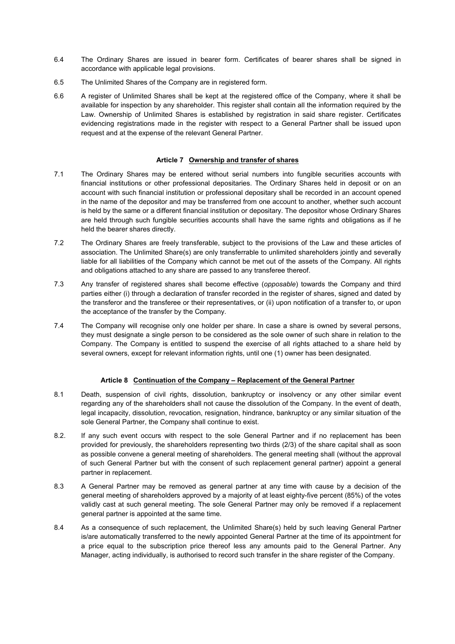- 6.4 The Ordinary Shares are issued in bearer form. Certificates of bearer shares shall be signed in accordance with applicable legal provisions.
- 6.5 The Unlimited Shares of the Company are in registered form.
- 6.6 A register of Unlimited Shares shall be kept at the registered office of the Company, where it shall be available for inspection by any shareholder. This register shall contain all the information required by the Law. Ownership of Unlimited Shares is established by registration in said share register. Certificates evidencing registrations made in the register with respect to a General Partner shall be issued upon request and at the expense of the relevant General Partner.

#### **Article 7 Ownership and transfer of shares**

- 7.1 The Ordinary Shares may be entered without serial numbers into fungible securities accounts with financial institutions or other professional depositaries. The Ordinary Shares held in deposit or on an account with such financial institution or professional depositary shall be recorded in an account opened in the name of the depositor and may be transferred from one account to another, whether such account is held by the same or a different financial institution or depositary. The depositor whose Ordinary Shares are held through such fungible securities accounts shall have the same rights and obligations as if he held the bearer shares directly.
- 7.2 The Ordinary Shares are freely transferable, subject to the provisions of the Law and these articles of association. The Unlimited Share(s) are only transferrable to unlimited shareholders jointly and severally liable for all liabilities of the Company which cannot be met out of the assets of the Company. All rights and obligations attached to any share are passed to any transferee thereof.
- 7.3 Any transfer of registered shares shall become effective (*opposable*) towards the Company and third parties either (i) through a declaration of transfer recorded in the register of shares, signed and dated by the transferor and the transferee or their representatives, or (ii) upon notification of a transfer to, or upon the acceptance of the transfer by the Company.
- 7.4 The Company will recognise only one holder per share. In case a share is owned by several persons, they must designate a single person to be considered as the sole owner of such share in relation to the Company. The Company is entitled to suspend the exercise of all rights attached to a share held by several owners, except for relevant information rights, until one (1) owner has been designated.

## **Article 8 Continuation of the Company – Replacement of the General Partner**

- 8.1 Death, suspension of civil rights, dissolution, bankruptcy or insolvency or any other similar event regarding any of the shareholders shall not cause the dissolution of the Company. In the event of death, legal incapacity, dissolution, revocation, resignation, hindrance, bankruptcy or any similar situation of the sole General Partner, the Company shall continue to exist.
- 8.2. If any such event occurs with respect to the sole General Partner and if no replacement has been provided for previously, the shareholders representing two thirds (2/3) of the share capital shall as soon as possible convene a general meeting of shareholders. The general meeting shall (without the approval of such General Partner but with the consent of such replacement general partner) appoint a general partner in replacement.
- 8.3 A General Partner may be removed as general partner at any time with cause by a decision of the general meeting of shareholders approved by a majority of at least eighty-five percent (85%) of the votes validly cast at such general meeting. The sole General Partner may only be removed if a replacement general partner is appointed at the same time.
- 8.4 As a consequence of such replacement, the Unlimited Share(s) held by such leaving General Partner is/are automatically transferred to the newly appointed General Partner at the time of its appointment for a price equal to the subscription price thereof less any amounts paid to the General Partner. Any Manager, acting individually, is authorised to record such transfer in the share register of the Company.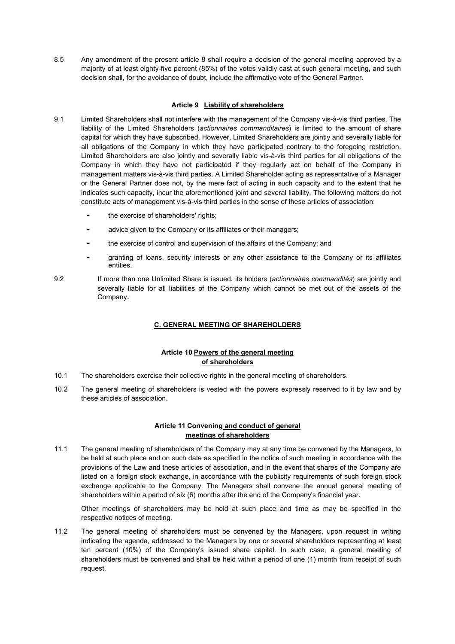8.5 Any amendment of the present article 8 shall require a decision of the general meeting approved by a majority of at least eighty-five percent (85%) of the votes validly cast at such general meeting, and such decision shall, for the avoidance of doubt, include the affirmative vote of the General Partner.

## **Article 9 Liability of shareholders**

- 9.1 Limited Shareholders shall not interfere with the management of the Company vis-à-vis third parties. The liability of the Limited Shareholders (*actionnaires commanditaires*) is limited to the amount of share capital for which they have subscribed. However, Limited Shareholders are jointly and severally liable for all obligations of the Company in which they have participated contrary to the foregoing restriction. Limited Shareholders are also jointly and severally liable vis-à-vis third parties for all obligations of the Company in which they have not participated if they regularly act on behalf of the Company in management matters vis-à-vis third parties. A Limited Shareholder acting as representative of a Manager or the General Partner does not, by the mere fact of acting in such capacity and to the extent that he indicates such capacity, incur the aforementioned joint and several liability. The following matters do not constitute acts of management vis-à-vis third parties in the sense of these articles of association:
	- the exercise of shareholders' rights;
	- advice given to the Company or its affiliates or their managers;
	- the exercise of control and supervision of the affairs of the Company; and
	- granting of loans, security interests or any other assistance to the Company or its affiliates entities.

9.2 If more than one Unlimited Share is issued, its holders (*actionnaires commandités*) are jointly and severally liable for all liabilities of the Company which cannot be met out of the assets of the Company.

## **C. GENERAL MEETING OF SHAREHOLDERS**

## **Article 10 Powers of the general meeting of shareholders**

- 10.1 The shareholders exercise their collective rights in the general meeting of shareholders.
- 10.2 The general meeting of shareholders is vested with the powers expressly reserved to it by law and by these articles of association.

#### **Article 11 Convening and conduct of general meetings of shareholders**

11.1 The general meeting of shareholders of the Company may at any time be convened by the Managers, to be held at such place and on such date as specified in the notice of such meeting in accordance with the provisions of the Law and these articles of association, and in the event that shares of the Company are listed on a foreign stock exchange, in accordance with the publicity requirements of such foreign stock exchange applicable to the Company. The Managers shall convene the annual general meeting of shareholders within a period of six (6) months after the end of the Company's financial year.

Other meetings of shareholders may be held at such place and time as may be specified in the respective notices of meeting.

11.2 The general meeting of shareholders must be convened by the Managers, upon request in writing indicating the agenda, addressed to the Managers by one or several shareholders representing at least ten percent (10%) of the Company's issued share capital. In such case, a general meeting of shareholders must be convened and shall be held within a period of one (1) month from receipt of such request.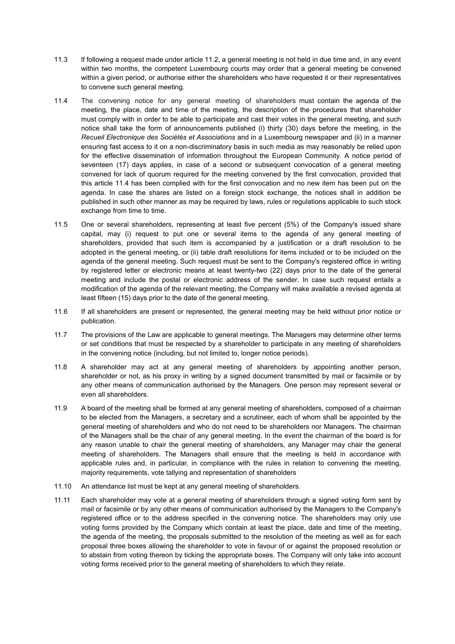- 11.3 lf following a request made under article 11.2, a general meeting is not held in due time and, in any event within two months, the competent Luxembourg courts may order that a general meeting be convened within a given period, or authorise either the shareholders who have requested it or their representatives to convene such general meeting.
- 11.4 The convening notice for any general meeting of shareholders must contain the agenda of the meeting, the place, date and time of the meeting, the description of the procedures that shareholder must comply with in order to be able to participate and cast their votes in the general meeting, and such notice shall take the form of announcements published (i) thirty (30) days before the meeting, in the *Recueil Electronique des Sociétés et Associations* and in a Luxembourg newspaper and (ii) in a manner ensuring fast access to it on a non-discriminatory basis in such media as may reasonably be relied upon for the effective dissemination of information throughout the European Community. A notice period of seventeen (17) days applies, in case of a second or subsequent convocation of a general meeting convened for lack of quorum required for the meeting convened by the first convocation, provided that this article 11.4 has been complied with for the first convocation and no new item has been put on the agenda. In case the shares are listed on a foreign stock exchange, the notices shall in addition be published in such other manner as may be required by laws, rules or regulations applicable to such stock exchange from time to time.
- 11.5 One or several shareholders, representing at least five percent (5%) of the Company's issued share capital, may (i) request to put one or several items to the agenda of any general meeting of shareholders, provided that such item is accompanied by a justification or a draft resolution to be adopted in the general meeting, or (ii) table draft resolutions for items included or to be included on the agenda of the general meeting. Such request must be sent to the Company's registered office in writing by registered letter or electronic means at least twenty-two (22) days prior to the date of the general meeting and include the postal or electronic address of the sender. In case such request entails a modification of the agenda of the relevant meeting, the Company will make available a revised agenda at least fifteen (15) days prior to the date of the general meeting.
- 11.6 If all shareholders are present or represented, the general meeting may be held without prior notice or publication.
- 11.7 The provisions of the Law are applicable to general meetings. The Managers may determine other terms or set conditions that must be respected by a shareholder to participate in any meeting of shareholders in the convening notice (including, but not limited to, longer notice periods).
- 11.8 A shareholder may act at any general meeting of shareholders by appointing another person, shareholder or not, as his proxy in writing by a signed document transmitted by mail or facsimile or by any other means of communication authorised by the Managers. One person may represent several or even all shareholders.
- 11.9 A board of the meeting shall be formed at any general meeting of shareholders, composed of a chairman to be elected from the Managers, a secretary and a scrutineer, each of whom shall be appointed by the general meeting of shareholders and who do not need to be shareholders nor Managers. The chairman of the Managers shall be the chair of any general meeting. In the event the chairman of the board is for any reason unable to chair the general meeting of shareholders, any Manager may chair the general meeting of shareholders. The Managers shall ensure that the meeting is held in accordance with applicable rules and, in particular, in compliance with the rules in relation to convening the meeting, majority requirements, vote tallying and representation of shareholders
- 11.10 An attendance list must be kept at any general meeting of shareholders.
- 11.11 Each shareholder may vote at a general meeting of shareholders through a signed voting form sent by mail or facsimile or by any other means of communication authorised by the Managers to the Company's registered office or to the address specified in the convening notice. The shareholders may only use voting forms provided by the Company which contain at least the place, date and time of the meeting, the agenda of the meeting, the proposals submitted to the resolution of the meeting as well as for each proposal three boxes allowing the shareholder to vote in favour of or against the proposed resolution or to abstain from voting thereon by ticking the appropriate boxes. The Company will only take into account voting forms received prior to the general meeting of shareholders to which they relate.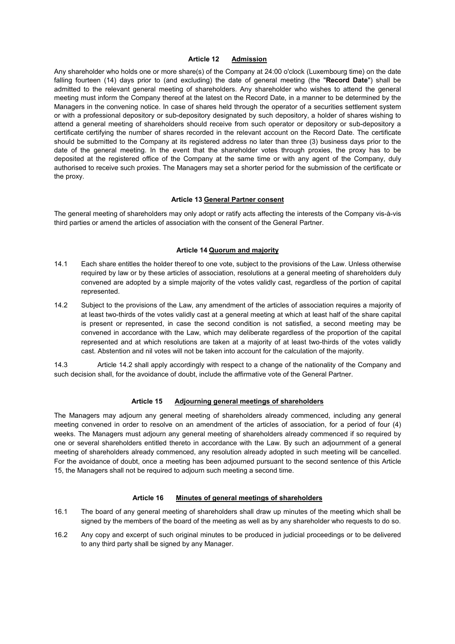#### **Article 12 Admission**

Any shareholder who holds one or more share(s) of the Company at 24:00 o'clock (Luxembourg time) on the date falling fourteen (14) days prior to (and excluding) the date of general meeting (the "**Record Date**") shall be admitted to the relevant general meeting of shareholders. Any shareholder who wishes to attend the general meeting must inform the Company thereof at the latest on the Record Date, in a manner to be determined by the Managers in the convening notice. In case of shares held through the operator of a securities settlement system or with a professional depository or sub-depository designated by such depository, a holder of shares wishing to attend a general meeting of shareholders should receive from such operator or depository or sub-depository a certificate certifying the number of shares recorded in the relevant account on the Record Date. The certificate should be submitted to the Company at its registered address no later than three (3) business days prior to the date of the general meeting. In the event that the shareholder votes through proxies, the proxy has to be deposited at the registered office of the Company at the same time or with any agent of the Company, duly authorised to receive such proxies. The Managers may set a shorter period for the submission of the certificate or the proxy.

#### **Article 13 General Partner consent**

The general meeting of shareholders may only adopt or ratify acts affecting the interests of the Company vis-à-vis third parties or amend the articles of association with the consent of the General Partner.

#### **Article 14 Quorum and majority**

- 14.1 Each share entitles the holder thereof to one vote, subject to the provisions of the Law. Unless otherwise required by law or by these articles of association, resolutions at a general meeting of shareholders duly convened are adopted by a simple majority of the votes validly cast, regardless of the portion of capital represented.
- 14.2 Subject to the provisions of the Law, any amendment of the articles of association requires a majority of at least two-thirds of the votes validly cast at a general meeting at which at least half of the share capital is present or represented, in case the second condition is not satisfied, a second meeting may be convened in accordance with the Law, which may deliberate regardless of the proportion of the capital represented and at which resolutions are taken at a majority of at least two-thirds of the votes validly cast. Abstention and nil votes will not be taken into account for the calculation of the majority.

14.3 Article 14.2 shall apply accordingly with respect to a change of the nationality of the Company and such decision shall, for the avoidance of doubt, include the affirmative vote of the General Partner.

#### **Article 15 Adjourning general meetings of shareholders**

The Managers may adjourn any general meeting of shareholders already commenced, including any general meeting convened in order to resolve on an amendment of the articles of association, for a period of four (4) weeks. The Managers must adjourn any general meeting of shareholders already commenced if so required by one or several shareholders entitled thereto in accordance with the Law. By such an adjournment of a general meeting of shareholders already commenced, any resolution already adopted in such meeting will be cancelled. For the avoidance of doubt, once a meeting has been adjourned pursuant to the second sentence of this Article 15, the Managers shall not be required to adjourn such meeting a second time.

#### **Article 16 Minutes of general meetings of shareholders**

- 16.1 The board of any general meeting of shareholders shall draw up minutes of the meeting which shall be signed by the members of the board of the meeting as well as by any shareholder who requests to do so.
- 16.2 Any copy and excerpt of such original minutes to be produced in judicial proceedings or to be delivered to any third party shall be signed by any Manager.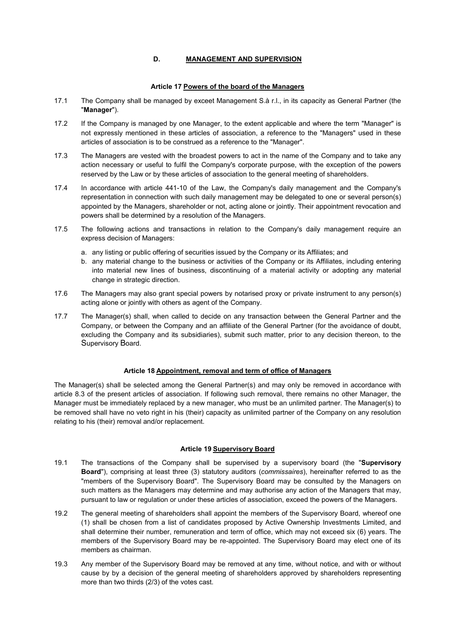## **D. MANAGEMENT AND SUPERVISION**

#### **Article 17 Powers of the board of the Managers**

- 17.1 The Company shall be managed by exceet Management S.à r.l., in its capacity as General Partner (the "**Manager**").
- 17.2 If the Company is managed by one Manager, to the extent applicable and where the term "Manager" is not expressly mentioned in these articles of association, a reference to the "Managers" used in these articles of association is to be construed as a reference to the "Manager".
- 17.3 The Managers are vested with the broadest powers to act in the name of the Company and to take any action necessary or useful to fulfil the Company's corporate purpose, with the exception of the powers reserved by the Law or by these articles of association to the general meeting of shareholders.
- 17.4 In accordance with article 441-10 of the Law, the Company's daily management and the Company's representation in connection with such daily management may be delegated to one or several person(s) appointed by the Managers, shareholder or not, acting alone or jointly. Their appointment revocation and powers shall be determined by a resolution of the Managers.
- 17.5 The following actions and transactions in relation to the Company's daily management require an express decision of Managers:
	- a. any listing or public offering of securities issued by the Company or its Affiliates; and
	- b. any material change to the business or activities of the Company or its Affiliates, including entering into material new lines of business, discontinuing of a material activity or adopting any material change in strategic direction.
- 17.6 The Managers may also grant special powers by notarised proxy or private instrument to any person(s) acting alone or jointly with others as agent of the Company.
- 17.7 The Manager(s) shall, when called to decide on any transaction between the General Partner and the Company, or between the Company and an affiliate of the General Partner (for the avoidance of doubt, excluding the Company and its subsidiaries), submit such matter, prior to any decision thereon, to the Supervisory Board.

## **Article 18 Appointment, removal and term of office of Managers**

The Manager(s) shall be selected among the General Partner(s) and may only be removed in accordance with article 8.3 of the present articles of association. If following such removal, there remains no other Manager, the Manager must be immediately replaced by a new manager, who must be an unlimited partner. The Manager(s) to be removed shall have no veto right in his (their) capacity as unlimited partner of the Company on any resolution relating to his (their) removal and/or replacement.

## **Article 19 Supervisory Board**

- 19.1 The transactions of the Company shall be supervised by a supervisory board (the "**Supervisory Board**"), comprising at least three (3) statutory auditors (*commissaires*), hereinafter referred to as the "members of the Supervisory Board". The Supervisory Board may be consulted by the Managers on such matters as the Managers may determine and may authorise any action of the Managers that may, pursuant to law or regulation or under these articles of association, exceed the powers of the Managers.
- 19.2 The general meeting of shareholders shall appoint the members of the Supervisory Board, whereof one (1) shall be chosen from a list of candidates proposed by Active Ownership Investments Limited, and shall determine their number, remuneration and term of office, which may not exceed six (6) years. The members of the Supervisory Board may be re-appointed. The Supervisory Board may elect one of its members as chairman.
- 19.3 Any member of the Supervisory Board may be removed at any time, without notice, and with or without cause by by a decision of the general meeting of shareholders approved by shareholders representing more than two thirds (2/3) of the votes cast.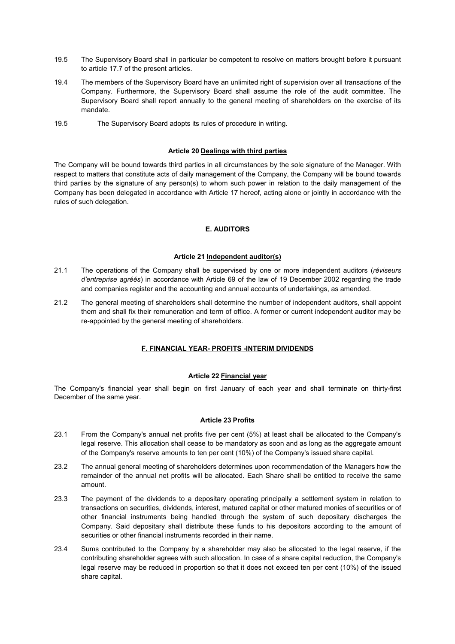- 19.5 The Supervisory Board shall in particular be competent to resolve on matters brought before it pursuant to article 17.7 of the present articles.
- 19.4 The members of the Supervisory Board have an unlimited right of supervision over all transactions of the Company. Furthermore, the Supervisory Board shall assume the role of the audit committee. The Supervisory Board shall report annually to the general meeting of shareholders on the exercise of its mandate.
- 19.5 The Supervisory Board adopts its rules of procedure in writing.

#### **Article 20 Dealings with third parties**

The Company will be bound towards third parties in all circumstances by the sole signature of the Manager. With respect to matters that constitute acts of daily management of the Company, the Company will be bound towards third parties by the signature of any person(s) to whom such power in relation to the daily management of the Company has been delegated in accordance with Article 17 hereof, acting alone or jointly in accordance with the rules of such delegation.

## **E. AUDITORS**

#### **Article 21 Independent auditor(s)**

- 21.1 The operations of the Company shall be supervised by one or more independent auditors (*réviseurs d'entreprise agréés*) in accordance with Article 69 of the law of 19 December 2002 regarding the trade and companies register and the accounting and annual accounts of undertakings, as amended.
- 21.2 The general meeting of shareholders shall determine the number of independent auditors, shall appoint them and shall fix their remuneration and term of office. A former or current independent auditor may be re-appointed by the general meeting of shareholders.

## **F. FINANCIAL YEAR- PROFITS -INTERIM DIVIDENDS**

## **Article 22 Financial year**

The Company's financial year shall begin on first January of each year and shall terminate on thirty-first December of the same year.

## **Article 23 Profits**

- 23.1 From the Company's annual net profits five per cent (5%) at least shall be allocated to the Company's legal reserve. This allocation shall cease to be mandatory as soon and as long as the aggregate amount of the Company's reserve amounts to ten per cent (10%) of the Company's issued share capital.
- 23.2 The annual general meeting of shareholders determines upon recommendation of the Managers how the remainder of the annual net profits will be allocated. Each Share shall be entitled to receive the same amount.
- 23.3 The payment of the dividends to a depositary operating principally a settlement system in relation to transactions on securities, dividends, interest, matured capital or other matured monies of securities or of other financial instruments being handled through the system of such depositary discharges the Company. Said depositary shall distribute these funds to his depositors according to the amount of securities or other financial instruments recorded in their name.
- 23.4 Sums contributed to the Company by a shareholder may also be allocated to the legal reserve, if the contributing shareholder agrees with such allocation. In case of a share capital reduction, the Company's legal reserve may be reduced in proportion so that it does not exceed ten per cent (10%) of the issued share capital.